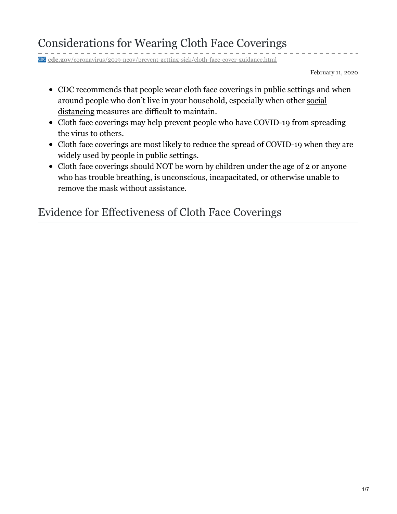**cdc.gov**[/coronavirus/2019-ncov/prevent-getting-sick/cloth-face-cover-guidance.html](https://www.cdc.gov/coronavirus/2019-ncov/prevent-getting-sick/cloth-face-cover-guidance.html#feasibility-adaptations)

February 11, 2020

- CDC recommends that people wear cloth face coverings in public settings and when around people who don't live in your [household,](https://www.cdc.gov/coronavirus/2019-ncov/prevent-getting-sick/social-distancing.html) especially when other social distancing measures are difficult to maintain.
- Cloth face coverings may help prevent people who have COVID-19 from spreading the virus to others.
- Cloth face coverings are most likely to reduce the spread of COVID-19 when they are widely used by people in public settings.
- Cloth face coverings should NOT be worn by children under the age of 2 or anyone who has trouble breathing, is unconscious, incapacitated, or otherwise unable to remove the mask without assistance.

## Evidence for Effectiveness of Cloth Face Coverings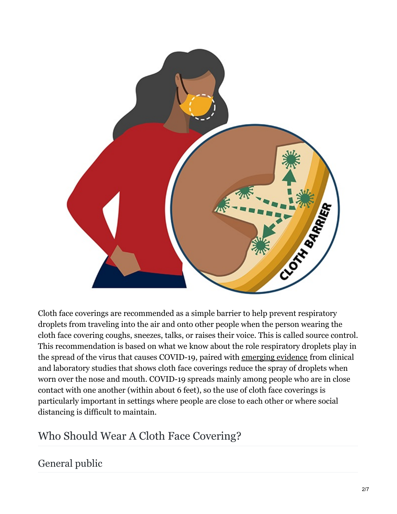

Cloth face coverings are recommended as a simple barrier to help prevent respiratory droplets from traveling into the air and onto other people when the person wearing the cloth face covering coughs, sneezes, talks, or raises their voice. This is called source control. This recommendation is based on what we know about the role respiratory droplets play in the spread of the virus that causes COVID-19, paired with emerging evidence from clinical and laboratory studies that shows cloth face coverings reduce the spray of droplets when worn over the nose and mouth. COVID-19 spreads mainly among people who are in close contact with one another (within about 6 feet), so the use of cloth face coverings is particularly important in settings where people are close to each other or where social distancing is difficult to maintain.

# Who Should Wear A Cloth Face Covering?

## General public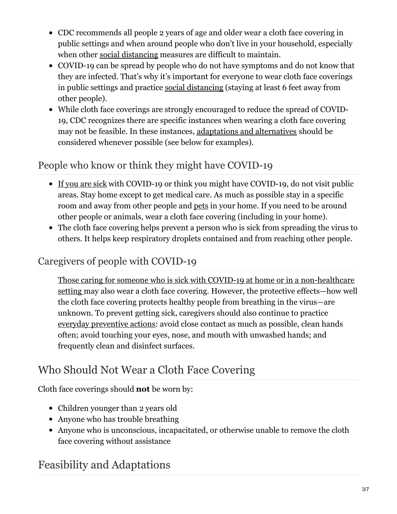- CDC recommends all people 2 years of age and older wear a cloth face covering in public settings and when around people who don't live in your household, especially when other social [distancing](https://www.cdc.gov/coronavirus/2019-ncov/prevent-getting-sick/social-distancing.html) measures are difficult to maintain.
- COVID-19 can be spread by people who do not have symptoms and do not know that they are infected. That's why it's important for everyone to wear cloth face coverings in public settings and practice social [distancing](https://www.cdc.gov/coronavirus/2019-ncov/prevent-getting-sick/social-distancing.html) (staying at least 6 feet away from other people).
- While cloth face coverings are strongly encouraged to reduce the spread of COVID-19, CDC recognizes there are specific instances when wearing a cloth face covering may not be feasible. In these instances, adaptations and alternatives should be considered whenever possible (see below for examples).

#### People who know or think they might have COVID-19

- If you are [sick](https://www.cdc.gov/coronavirus/2019-ncov/if-you-are-sick/steps-when-sick.html) with COVID-19 or think you might have COVID-19, do not visit public areas. Stay home except to get medical care. As much as possible stay in a specific room and away from other people and [pets](https://www.cdc.gov/coronavirus/2019-ncov/animals/pets-other-animals.html) in your home. If you need to be around other people or animals, wear a cloth face covering (including in your home).
- The cloth face covering helps prevent a person who is sick from spreading the virus to others. It helps keep respiratory droplets contained and from reaching other people.

## Caregivers of people with COVID-19

Those caring for someone who is sick with COVID-19 at home or in a [non-healthcare](https://www.cdc.gov/coronavirus/2019-ncov/if-you-are-sick/care-for-someone.html) setting may also wear a cloth face covering. However, the protective effects—how well the cloth face covering protects healthy people from breathing in the virus—are unknown. To prevent getting sick, caregivers should also continue to practice everyday [preventive](https://www.cdc.gov/coronavirus/2019-ncov/prevent-getting-sick/prevention.html) actions: avoid close contact as much as possible, clean hands often; avoid touching your eyes, nose, and mouth with unwashed hands; and frequently clean and disinfect surfaces.

# Who Should Not Wear a Cloth Face Covering

Cloth face coverings should **not** be worn by:

- Children younger than 2 years old
- Anyone who has trouble breathing
- Anyone who is unconscious, incapacitated, or otherwise unable to remove the cloth face covering without assistance

# Feasibility and Adaptations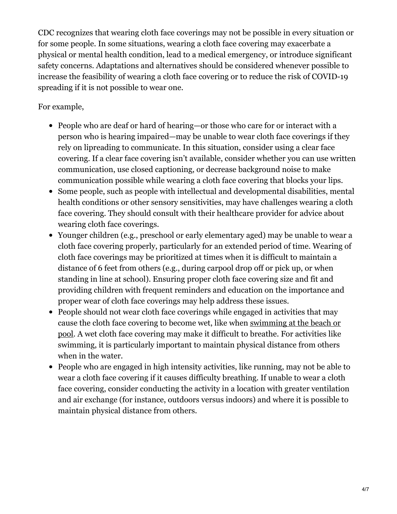CDC recognizes that wearing cloth face coverings may not be possible in every situation or for some people. In some situations, wearing a cloth face covering may exacerbate a physical or mental health condition, lead to a medical emergency, or introduce significant safety concerns. Adaptations and alternatives should be considered whenever possible to increase the feasibility of wearing a cloth face covering or to reduce the risk of COVID-19 spreading if it is not possible to wear one.

#### For example,

- People who are deaf or hard of hearing—or those who care for or interact with a person who is hearing impaired—may be unable to wear cloth face coverings if they rely on lipreading to communicate. In this situation, consider using a clear face covering. If a clear face covering isn't available, consider whether you can use written communication, use closed captioning, or decrease background noise to make communication possible while wearing a cloth face covering that blocks your lips.
- Some people, such as people with intellectual and developmental disabilities, mental health conditions or other sensory sensitivities, may have challenges wearing a cloth face covering. They should consult with their healthcare provider for advice about wearing cloth face coverings.
- Younger children (e.g., preschool or early elementary aged) may be unable to wear a cloth face covering properly, particularly for an extended period of time. Wearing of cloth face coverings may be prioritized at times when it is difficult to maintain a distance of 6 feet from others (e.g., during carpool drop off or pick up, or when standing in line at school). Ensuring proper cloth face covering size and fit and providing children with frequent reminders and education on the importance and proper wear of cloth face coverings may help address these issues.
- People should not wear cloth face coverings while engaged in activities that may cause the cloth face covering to become wet, like when [swimming](https://www.cdc.gov/coronavirus/2019-ncov/community/parks-rec/public-beaches.html) at the beach or pool. A wet cloth face covering may make it difficult to breathe. For activities like swimming, it is particularly important to maintain physical distance from others when in the water.
- People who are engaged in high intensity activities, like running, may not be able to wear a cloth face covering if it causes difficulty breathing. If unable to wear a cloth face covering, consider conducting the activity in a location with greater ventilation and air exchange (for instance, outdoors versus indoors) and where it is possible to maintain physical distance from others.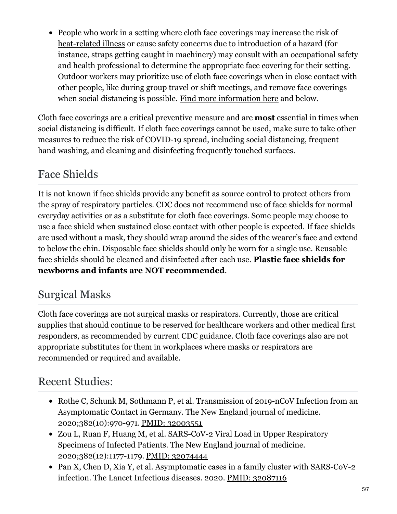• People who work in a setting where cloth face coverings may increase the risk of [heat-related](https://www.cdc.gov/niosh/topics/heatstress/) illness or cause safety concerns due to introduction of a hazard (for instance, straps getting caught in machinery) may consult with an occupational safety and health professional to determine the appropriate face covering for their setting. Outdoor workers may prioritize use of cloth face coverings when in close contact with other people, like during group travel or shift meetings, and remove face coverings when social distancing is possible. Find more [information](https://www.cdc.gov/coronavirus/2019-ncov/community/organizations/meat-poultry-processing-workers-employers.html) here and below.

Cloth face coverings are a critical preventive measure and are **most** essential in times when social distancing is difficult. If cloth face coverings cannot be used, make sure to take other measures to reduce the risk of COVID-19 spread, including social distancing, frequent hand washing, and cleaning and disinfecting frequently touched surfaces.

## Face Shields

It is not known if face shields provide any benefit as source control to protect others from the spray of respiratory particles. CDC does not recommend use of face shields for normal everyday activities or as a substitute for cloth face coverings. Some people may choose to use a face shield when sustained close contact with other people is expected. If face shields are used without a mask, they should wrap around the sides of the wearer's face and extend to below the chin. Disposable face shields should only be worn for a single use. Reusable face shields should be cleaned and disinfected after each use. **Plastic face shields for newborns and infants are NOT recommended**.

## Surgical Masks

Cloth face coverings are not surgical masks or respirators. Currently, those are critical supplies that should continue to be reserved for healthcare workers and other medical first responders, as recommended by current CDC guidance. Cloth face coverings also are not appropriate substitutes for them in workplaces where masks or respirators are recommended or required and available.

#### Recent Studies:

- Rothe C, Schunk M, Sothmann P, et al. Transmission of 2019-nCoV Infection from an Asymptomatic Contact in Germany. The New England journal of medicine. 2020;382(10):970-971. PMID: [32003551](https://pubmed.ncbi.nlm.nih.gov/32003551/)
- Zou L, Ruan F, Huang M, et al. SARS-CoV-2 Viral Load in Upper Respiratory Specimens of Infected Patients. The New England journal of medicine. 2020;382(12):1177-1179. PMID: [32074444](https://pubmed.ncbi.nlm.nih.gov/32074444/)
- Pan X, Chen D, Xia Y, et al. Asymptomatic cases in a family cluster with SARS-CoV-2 infection. The Lancet Infectious diseases. 2020. PMID: [32087116](https://pubmed.ncbi.nlm.nih.gov/32087116/)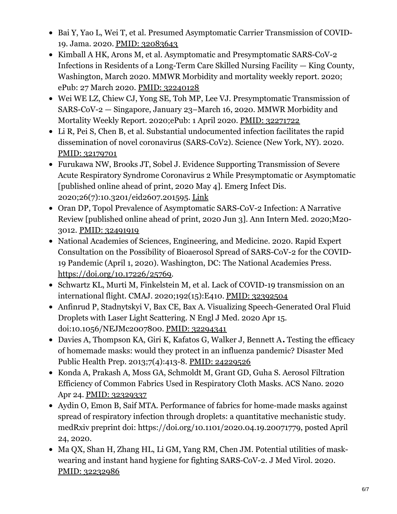- Bai Y, Yao L, Wei T, et al. Presumed Asymptomatic Carrier Transmission of COVID-19. Jama. 2020. PMID: [32083643](https://pubmed.ncbi.nlm.nih.gov/32083643/)
- Kimball A HK, Arons M, et al. Asymptomatic and Presymptomatic SARS-CoV-2 Infections in Residents of a Long-Term Care Skilled Nursing Facility — King County, Washington, March 2020. MMWR Morbidity and mortality weekly report. 2020; ePub: 27 March 2020. PMID: [32240128](https://pubmed.ncbi.nlm.nih.gov/32240128/)
- Wei WE LZ, Chiew CJ, Yong SE, Toh MP, Lee VJ. Presymptomatic Transmission of SARS-CoV-2 — Singapore, January 23–March 16, 2020. MMWR Morbidity and Mortality Weekly Report. 2020;ePub: 1 April 2020. PMID: [32271722](https://pubmed.ncbi.nlm.nih.gov/32271722/)
- Li R, Pei S, Chen B, et al. Substantial undocumented infection facilitates the rapid dissemination of novel coronavirus (SARS-CoV2). Science (New York, NY). 2020. PMID: [32179701](https://pubmed.ncbi.nlm.nih.gov/32179701/)
- Furukawa NW, Brooks JT, Sobel J. Evidence Supporting Transmission of Severe Acute Respiratory Syndrome Coronavirus 2 While Presymptomatic or Asymptomatic [published online ahead of print, 2020 May 4]. Emerg Infect Dis. 2020;26(7):10.3201/eid2607.201595. [Link](https://wwwnc.cdc.gov/eid/article/26/7/20-1595_article)
- Oran DP, Topol Prevalence of Asymptomatic SARS-CoV-2 Infection: A Narrative Review [published online ahead of print, 2020 Jun 3]. Ann Intern Med. 2020;M20- 3012. PMID: [32491919](https://pubmed.ncbi.nlm.nih.gov/32491919/)
- National Academies of Sciences, Engineering, and Medicine. 2020. Rapid Expert Consultation on the Possibility of Bioaerosol Spread of SARS-CoV-2 for the COVID-19 Pandemic (April 1, 2020). Washington, DC: The National Academies Press. <https://doi.org/10.17226/25769>.
- Schwartz KL, Murti M, Finkelstein M, et al. Lack of COVID-19 transmission on an international flight. CMAJ. 2020;192(15):E410. PMID: [32392504](https://pubmed.ncbi.nlm.nih.gov/32392504/)
- Anfinrud P, Stadnytskyi V, Bax CE, Bax A. Visualizing Speech-Generated Oral Fluid Droplets with Laser Light Scattering. N Engl J Med. 2020 Apr 15. doi:10.1056/NEJMc2007800. PMID: [32294341](https://pubmed.ncbi.nlm.nih.gov/32294341/)
- Davies A, Thompson KA, Giri K, Kafatos G, Walker J, Bennett A**.** Testing the efficacy of homemade masks: would they protect in an influenza pandemic? Disaster Med Public Health Prep. 2013;7(4):413-8. PMID: [24229526](https://pubmed.ncbi.nlm.nih.gov/24229526/)
- Konda A, Prakash A, Moss GA, Schmoldt M, Grant GD, Guha S. Aerosol Filtration Efficiency of Common Fabrics Used in Respiratory Cloth Masks. ACS Nano. 2020 Apr 24. PMID: [32329337](https://pubmed.ncbi.nlm.nih.gov/32329337/)
- Aydin O, Emon B, Saif MTA. Performance of fabrics for home-made masks against spread of respiratory infection through droplets: a quantitative mechanistic study. medRxiv preprint doi: https://doi.org/10.1101/2020.04.19.20071779, posted April 24, 2020.
- Ma QX, Shan H, Zhang HL, Li GM, Yang RM, Chen JM. Potential utilities of maskwearing and instant hand hygiene for fighting SARS-CoV-2. J Med Virol. 2020. PMID: [32232986](https://pubmed.ncbi.nlm.nih.gov/32232986/)